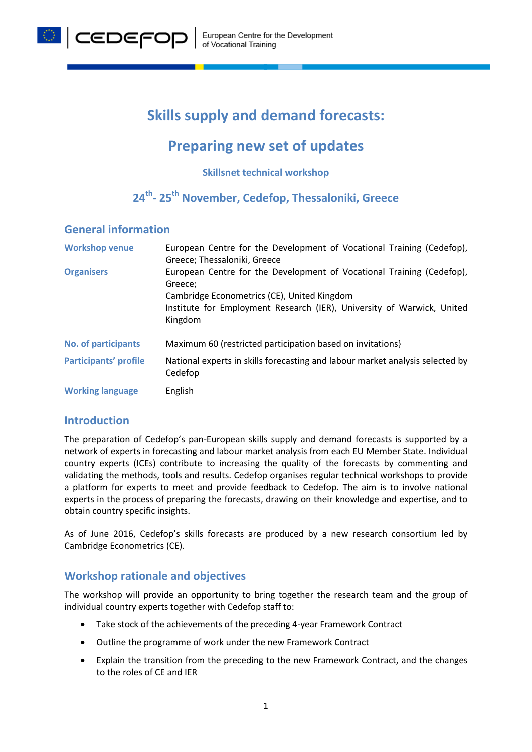

# **Skills supply and demand forecasts:**

## **Preparing new set of updates**

**Skillsnet technical workshop**

## **24th- 25th November, Cedefop, Thessaloniki, Greece**

#### **General information**

| <b>Workshop venue</b>        | European Centre for the Development of Vocational Training (Cedefop),<br>Greece; Thessaloniki, Greece                            |
|------------------------------|----------------------------------------------------------------------------------------------------------------------------------|
| <b>Organisers</b>            | European Centre for the Development of Vocational Training (Cedefop),<br>Greece;                                                 |
|                              | Cambridge Econometrics (CE), United Kingdom<br>Institute for Employment Research (IER), University of Warwick, United<br>Kingdom |
| <b>No. of participants</b>   | Maximum 60 (restricted participation based on invitations)                                                                       |
| <b>Participants' profile</b> | National experts in skills forecasting and labour market analysis selected by<br>Cedefop                                         |
| <b>Working language</b>      | English                                                                                                                          |

#### **Introduction**

The preparation of Cedefop's pan-European skills supply and demand forecasts is supported by a network of experts in forecasting and labour market analysis from each EU Member State. Individual country experts (ICEs) contribute to increasing the quality of the forecasts by commenting and validating the methods, tools and results. Cedefop organises regular technical workshops to provide a platform for experts to meet and provide feedback to Cedefop. The aim is to involve national experts in the process of preparing the forecasts, drawing on their knowledge and expertise, and to obtain country specific insights.

As of June 2016, Cedefop's skills forecasts are produced by a new research consortium led by Cambridge Econometrics (CE).

### **Workshop rationale and objectives**

The workshop will provide an opportunity to bring together the research team and the group of individual country experts together with Cedefop staff to:

- Take stock of the achievements of the preceding 4-year Framework Contract
- Outline the programme of work under the new Framework Contract
- Explain the transition from the preceding to the new Framework Contract, and the changes to the roles of CE and IER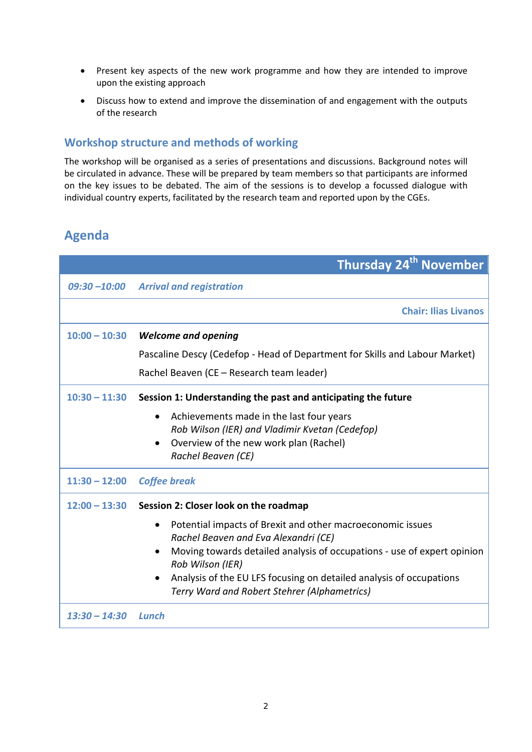- Present key aspects of the new work programme and how they are intended to improve upon the existing approach
- Discuss how to extend and improve the dissemination of and engagement with the outputs of the research

### **Workshop structure and methods of working**

The workshop will be organised as a series of presentations and discussions. Background notes will be circulated in advance. These will be prepared by team members so that participants are informed on the key issues to be debated. The aim of the sessions is to develop a focussed dialogue with individual country experts, facilitated by the research team and reported upon by the CGEs.

## **Agenda**

|                 | <b>Thursday 24<sup>th</sup> November</b>                                                    |
|-----------------|---------------------------------------------------------------------------------------------|
|                 | 09:30-10:00 Arrival and registration                                                        |
|                 | <b>Chair: Ilias Livanos</b>                                                                 |
| $10:00 - 10:30$ | <b>Welcome and opening</b>                                                                  |
|                 | Pascaline Descy (Cedefop - Head of Department for Skills and Labour Market)                 |
|                 | Rachel Beaven (CE - Research team leader)                                                   |
| $10:30 - 11:30$ | Session 1: Understanding the past and anticipating the future                               |
|                 | Achievements made in the last four years                                                    |
|                 | Rob Wilson (IER) and Vladimir Kvetan (Cedefop)                                              |
|                 | Overview of the new work plan (Rachel)<br>$\bullet$<br>Rachel Beaven (CE)                   |
| $11:30 - 12:00$ | <b>Coffee break</b>                                                                         |
|                 |                                                                                             |
| $12:00 - 13:30$ | Session 2: Closer look on the roadmap                                                       |
|                 | Potential impacts of Brexit and other macroeconomic issues<br>$\bullet$                     |
|                 | Rachel Beaven and Eva Alexandri (CE)                                                        |
|                 | Moving towards detailed analysis of occupations - use of expert opinion<br>Rob Wilson (IER) |
|                 | Analysis of the EU LFS focusing on detailed analysis of occupations<br>$\bullet$            |
|                 | Terry Ward and Robert Stehrer (Alphametrics)                                                |
| $13:30 - 14:30$ | Lunch                                                                                       |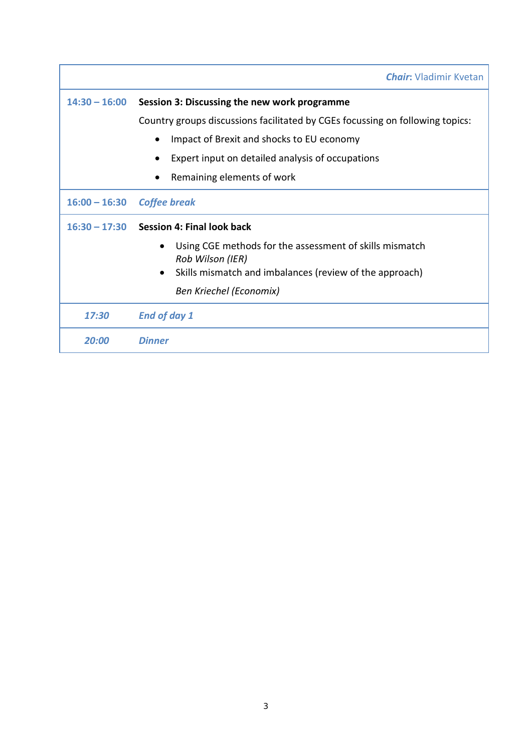|                 | <b>Chair:</b> Vladimir Kvetan                                                            |  |
|-----------------|------------------------------------------------------------------------------------------|--|
| $14:30 - 16:00$ | Session 3: Discussing the new work programme                                             |  |
|                 | Country groups discussions facilitated by CGEs focussing on following topics:            |  |
|                 | Impact of Brexit and shocks to EU economy                                                |  |
|                 | Expert input on detailed analysis of occupations                                         |  |
|                 | Remaining elements of work                                                               |  |
| $16:00 - 16:30$ | <b>Coffee break</b>                                                                      |  |
|                 | $16:30 - 17:30$ Session 4: Final look back                                               |  |
|                 | Using CGE methods for the assessment of skills mismatch<br>$\bullet$<br>Rob Wilson (IER) |  |
|                 | Skills mismatch and imbalances (review of the approach)<br>$\bullet$                     |  |
|                 | Ben Kriechel (Economix)                                                                  |  |
| 17:30           | <b>End of day 1</b>                                                                      |  |
| 20:00           | Dinner                                                                                   |  |